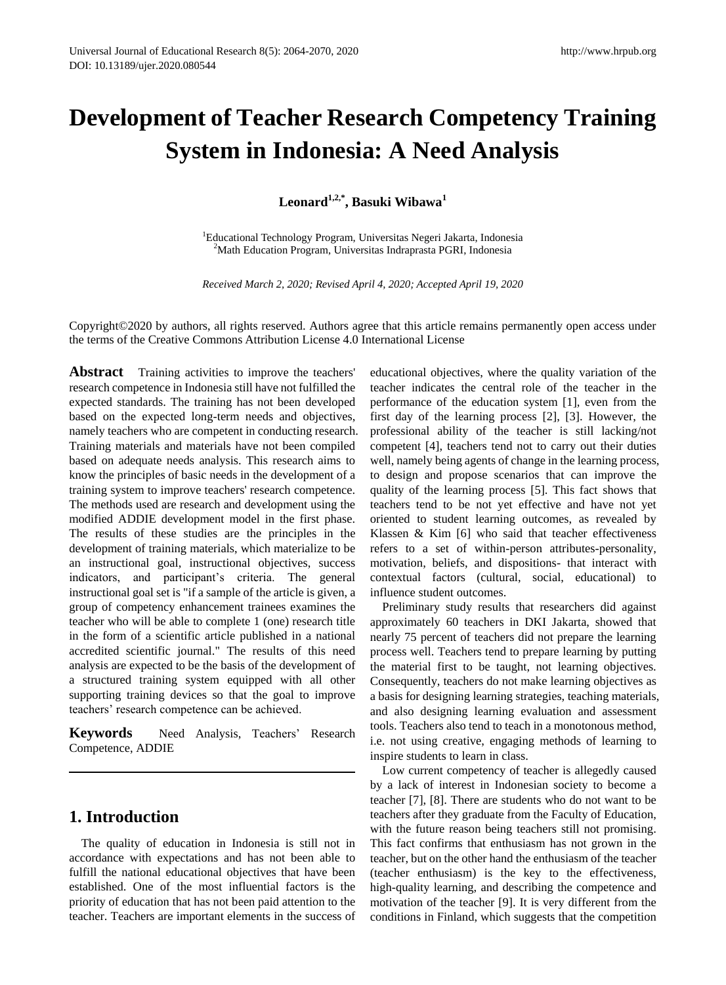# **Development of Teacher Research Competency Training System in Indonesia: A Need Analysis**

**Leonard1,2,\* , Basuki Wibawa<sup>1</sup>**

<sup>1</sup>Educational Technology Program, Universitas Negeri Jakarta, Indonesia <sup>2</sup>Math Education Program, Universitas Indraprasta PGRI, Indonesia

*Received March 2, 2020; Revised April 4, 2020; Accepted April 19, 2020*

Copyright©2020 by authors, all rights reserved. Authors agree that this article remains permanently open access under the terms of the Creative Commons Attribution License 4.0 International License

**Abstract** Training activities to improve the teachers' research competence in Indonesia still have not fulfilled the expected standards. The training has not been developed based on the expected long-term needs and objectives, namely teachers who are competent in conducting research. Training materials and materials have not been compiled based on adequate needs analysis. This research aims to know the principles of basic needs in the development of a training system to improve teachers' research competence. The methods used are research and development using the modified ADDIE development model in the first phase. The results of these studies are the principles in the development of training materials, which materialize to be an instructional goal, instructional objectives, success indicators, and participant's criteria. The general instructional goal set is "if a sample of the article is given, a group of competency enhancement trainees examines the teacher who will be able to complete 1 (one) research title in the form of a scientific article published in a national accredited scientific journal." The results of this need analysis are expected to be the basis of the development of a structured training system equipped with all other supporting training devices so that the goal to improve teachers' research competence can be achieved.

**Keywords** Need Analysis, Teachers' Research Competence, ADDIE

# **1. Introduction**

The quality of education in Indonesia is still not in accordance with expectations and has not been able to fulfill the national educational objectives that have been established. One of the most influential factors is the priority of education that has not been paid attention to the teacher. Teachers are important elements in the success of educational objectives, where the quality variation of the teacher indicates the central role of the teacher in the performance of the education system [1], even from the first day of the learning process [2], [3]. However, the professional ability of the teacher is still lacking/not competent [4], teachers tend not to carry out their duties well, namely being agents of change in the learning process, to design and propose scenarios that can improve the quality of the learning process [5]. This fact shows that teachers tend to be not yet effective and have not yet oriented to student learning outcomes, as revealed by Klassen & Kim [6] who said that teacher effectiveness refers to a set of within-person attributes-personality, motivation, beliefs, and dispositions- that interact with contextual factors (cultural, social, educational) to influence student outcomes.

Preliminary study results that researchers did against approximately 60 teachers in DKI Jakarta, showed that nearly 75 percent of teachers did not prepare the learning process well. Teachers tend to prepare learning by putting the material first to be taught, not learning objectives. Consequently, teachers do not make learning objectives as a basis for designing learning strategies, teaching materials, and also designing learning evaluation and assessment tools. Teachers also tend to teach in a monotonous method, i.e. not using creative, engaging methods of learning to inspire students to learn in class.

Low current competency of teacher is allegedly caused by a lack of interest in Indonesian society to become a teacher [7], [8]. There are students who do not want to be teachers after they graduate from the Faculty of Education, with the future reason being teachers still not promising. This fact confirms that enthusiasm has not grown in the teacher, but on the other hand the enthusiasm of the teacher (teacher enthusiasm) is the key to the effectiveness, high-quality learning, and describing the competence and motivation of the teacher [9]. It is very different from the conditions in Finland, which suggests that the competition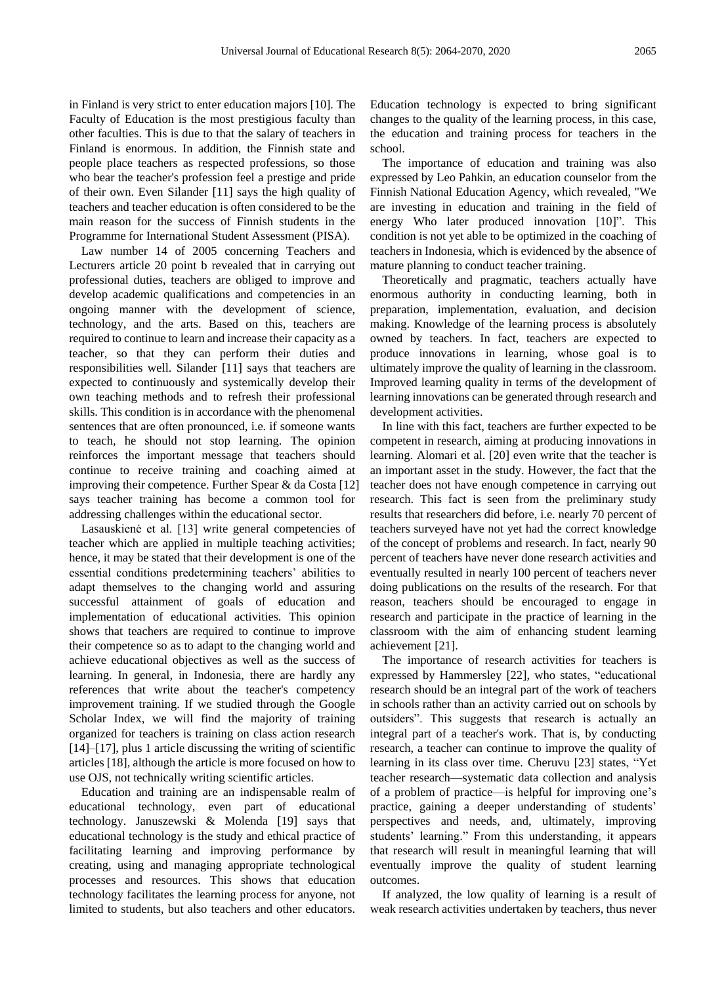in Finland is very strict to enter education majors [10]. The Faculty of Education is the most prestigious faculty than other faculties. This is due to that the salary of teachers in Finland is enormous. In addition, the Finnish state and people place teachers as respected professions, so those who bear the teacher's profession feel a prestige and pride of their own. Even Silander [11] says the high quality of teachers and teacher education is often considered to be the main reason for the success of Finnish students in the Programme for International Student Assessment (PISA).

Law number 14 of 2005 concerning Teachers and Lecturers article 20 point b revealed that in carrying out professional duties, teachers are obliged to improve and develop academic qualifications and competencies in an ongoing manner with the development of science, technology, and the arts. Based on this, teachers are required to continue to learn and increase their capacity as a teacher, so that they can perform their duties and responsibilities well. Silander [11] says that teachers are expected to continuously and systemically develop their own teaching methods and to refresh their professional skills. This condition is in accordance with the phenomenal sentences that are often pronounced, i.e. if someone wants to teach, he should not stop learning. The opinion reinforces the important message that teachers should continue to receive training and coaching aimed at improving their competence. Further Spear & da Costa [12] says teacher training has become a common tool for addressing challenges within the educational sector.

Lasauskienė et al. [13] write general competencies of teacher which are applied in multiple teaching activities; hence, it may be stated that their development is one of the essential conditions predetermining teachers' abilities to adapt themselves to the changing world and assuring successful attainment of goals of education and implementation of educational activities. This opinion shows that teachers are required to continue to improve their competence so as to adapt to the changing world and achieve educational objectives as well as the success of learning. In general, in Indonesia, there are hardly any references that write about the teacher's competency improvement training. If we studied through the Google Scholar Index, we will find the majority of training organized for teachers is training on class action research [14]–[17], plus 1 article discussing the writing of scientific articles [18], although the article is more focused on how to use OJS, not technically writing scientific articles.

Education and training are an indispensable realm of educational technology, even part of educational technology. Januszewski & Molenda [19] says that educational technology is the study and ethical practice of facilitating learning and improving performance by creating, using and managing appropriate technological processes and resources. This shows that education technology facilitates the learning process for anyone, not limited to students, but also teachers and other educators.

Education technology is expected to bring significant changes to the quality of the learning process, in this case, the education and training process for teachers in the school.

The importance of education and training was also expressed by Leo Pahkin, an education counselor from the Finnish National Education Agency, which revealed, "We are investing in education and training in the field of energy Who later produced innovation [10]". This condition is not yet able to be optimized in the coaching of teachers in Indonesia, which is evidenced by the absence of mature planning to conduct teacher training.

Theoretically and pragmatic, teachers actually have enormous authority in conducting learning, both in preparation, implementation, evaluation, and decision making. Knowledge of the learning process is absolutely owned by teachers. In fact, teachers are expected to produce innovations in learning, whose goal is to ultimately improve the quality of learning in the classroom. Improved learning quality in terms of the development of learning innovations can be generated through research and development activities.

In line with this fact, teachers are further expected to be competent in research, aiming at producing innovations in learning. Alomari et al. [20] even write that the teacher is an important asset in the study. However, the fact that the teacher does not have enough competence in carrying out research. This fact is seen from the preliminary study results that researchers did before, i.e. nearly 70 percent of teachers surveyed have not yet had the correct knowledge of the concept of problems and research. In fact, nearly 90 percent of teachers have never done research activities and eventually resulted in nearly 100 percent of teachers never doing publications on the results of the research. For that reason, teachers should be encouraged to engage in research and participate in the practice of learning in the classroom with the aim of enhancing student learning achievement [21].

The importance of research activities for teachers is expressed by Hammersley [22], who states, "educational research should be an integral part of the work of teachers in schools rather than an activity carried out on schools by outsiders". This suggests that research is actually an integral part of a teacher's work. That is, by conducting research, a teacher can continue to improve the quality of learning in its class over time. Cheruvu [23] states, "Yet teacher research—systematic data collection and analysis of a problem of practice—is helpful for improving one's practice, gaining a deeper understanding of students' perspectives and needs, and, ultimately, improving students' learning." From this understanding, it appears that research will result in meaningful learning that will eventually improve the quality of student learning outcomes.

If analyzed, the low quality of learning is a result of weak research activities undertaken by teachers, thus never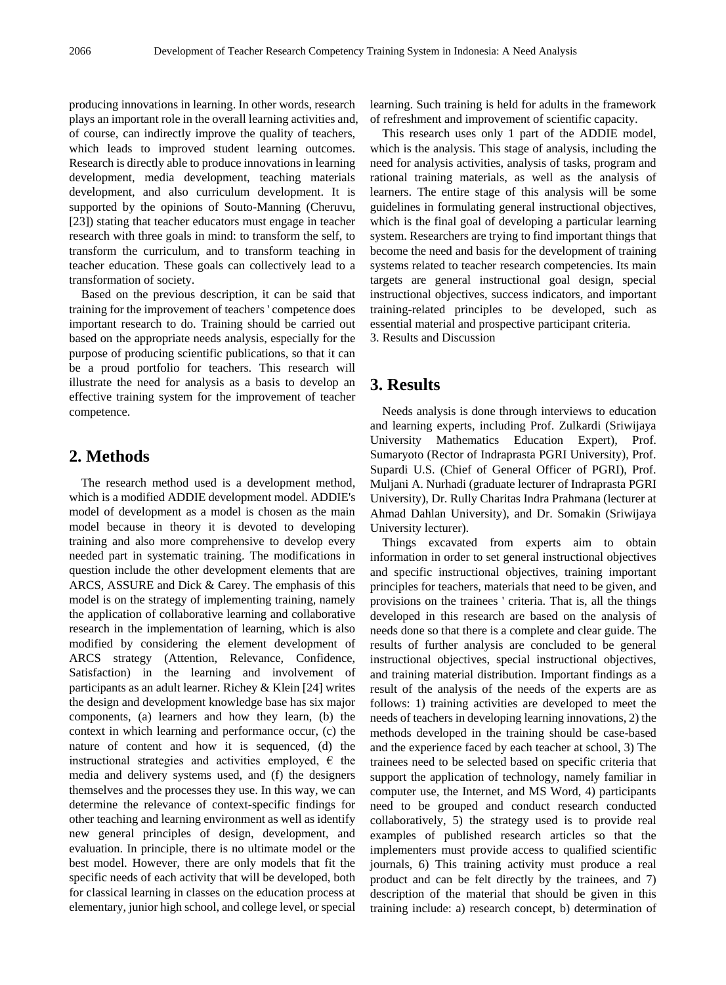producing innovations in learning. In other words, research plays an important role in the overall learning activities and, of course, can indirectly improve the quality of teachers, which leads to improved student learning outcomes. Research is directly able to produce innovations in learning development, media development, teaching materials development, and also curriculum development. It is supported by the opinions of Souto-Manning (Cheruvu, [23]) stating that teacher educators must engage in teacher research with three goals in mind: to transform the self, to transform the curriculum, and to transform teaching in teacher education. These goals can collectively lead to a transformation of society.

Based on the previous description, it can be said that training for the improvement of teachers ' competence does important research to do. Training should be carried out based on the appropriate needs analysis, especially for the purpose of producing scientific publications, so that it can be a proud portfolio for teachers. This research will illustrate the need for analysis as a basis to develop an effective training system for the improvement of teacher competence.

# **2. Methods**

The research method used is a development method, which is a modified ADDIE development model. ADDIE's model of development as a model is chosen as the main model because in theory it is devoted to developing training and also more comprehensive to develop every needed part in systematic training. The modifications in question include the other development elements that are ARCS, ASSURE and Dick & Carey. The emphasis of this model is on the strategy of implementing training, namely the application of collaborative learning and collaborative research in the implementation of learning, which is also modified by considering the element development of ARCS strategy (Attention, Relevance, Confidence, Satisfaction) in the learning and involvement of participants as an adult learner. Richey & Klein [24] writes the design and development knowledge base has six major components, (a) learners and how they learn, (b) the context in which learning and performance occur, (c) the nature of content and how it is sequenced, (d) the instructional strategies and activities employed,  $\epsilon$  the media and delivery systems used, and (f) the designers themselves and the processes they use. In this way, we can determine the relevance of context-specific findings for other teaching and learning environment as well as identify new general principles of design, development, and evaluation. In principle, there is no ultimate model or the best model. However, there are only models that fit the specific needs of each activity that will be developed, both for classical learning in classes on the education process at elementary, junior high school, and college level, or special

learning. Such training is held for adults in the framework of refreshment and improvement of scientific capacity.

This research uses only 1 part of the ADDIE model, which is the analysis. This stage of analysis, including the need for analysis activities, analysis of tasks, program and rational training materials, as well as the analysis of learners. The entire stage of this analysis will be some guidelines in formulating general instructional objectives, which is the final goal of developing a particular learning system. Researchers are trying to find important things that become the need and basis for the development of training systems related to teacher research competencies. Its main targets are general instructional goal design, special instructional objectives, success indicators, and important training-related principles to be developed, such as essential material and prospective participant criteria. 3. Results and Discussion

### **3. Results**

Needs analysis is done through interviews to education and learning experts, including Prof. Zulkardi (Sriwijaya University Mathematics Education Expert), Prof. Sumaryoto (Rector of Indraprasta PGRI University), Prof. Supardi U.S. (Chief of General Officer of PGRI), Prof. Muljani A. Nurhadi (graduate lecturer of Indraprasta PGRI University), Dr. Rully Charitas Indra Prahmana (lecturer at Ahmad Dahlan University), and Dr. Somakin (Sriwijaya University lecturer).

Things excavated from experts aim to obtain information in order to set general instructional objectives and specific instructional objectives, training important principles for teachers, materials that need to be given, and provisions on the trainees ' criteria. That is, all the things developed in this research are based on the analysis of needs done so that there is a complete and clear guide. The results of further analysis are concluded to be general instructional objectives, special instructional objectives, and training material distribution. Important findings as a result of the analysis of the needs of the experts are as follows: 1) training activities are developed to meet the needs of teachers in developing learning innovations, 2) the methods developed in the training should be case-based and the experience faced by each teacher at school, 3) The trainees need to be selected based on specific criteria that support the application of technology, namely familiar in computer use, the Internet, and MS Word, 4) participants need to be grouped and conduct research conducted collaboratively, 5) the strategy used is to provide real examples of published research articles so that the implementers must provide access to qualified scientific journals, 6) This training activity must produce a real product and can be felt directly by the trainees, and 7) description of the material that should be given in this training include: a) research concept, b) determination of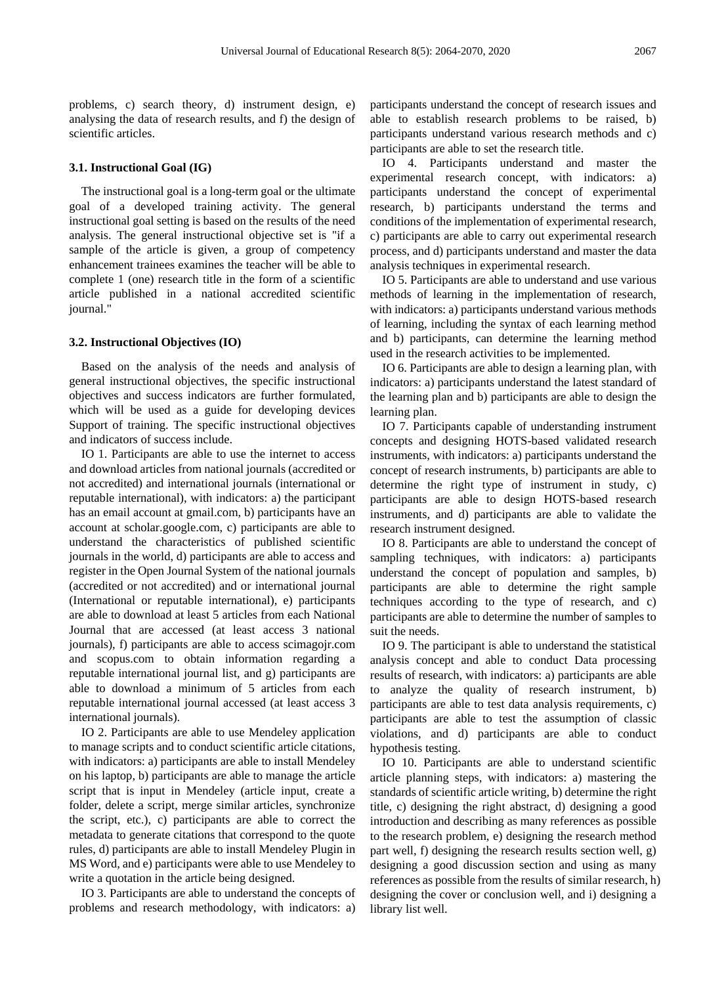problems, c) search theory, d) instrument design, e) analysing the data of research results, and f) the design of scientific articles.

#### **3.1. Instructional Goal (IG)**

The instructional goal is a long-term goal or the ultimate goal of a developed training activity. The general instructional goal setting is based on the results of the need analysis. The general instructional objective set is "if a sample of the article is given, a group of competency enhancement trainees examines the teacher will be able to complete 1 (one) research title in the form of a scientific article published in a national accredited scientific journal."

#### **3.2. Instructional Objectives (IO)**

Based on the analysis of the needs and analysis of general instructional objectives, the specific instructional objectives and success indicators are further formulated, which will be used as a guide for developing devices Support of training. The specific instructional objectives and indicators of success include.

IO 1. Participants are able to use the internet to access and download articles from national journals (accredited or not accredited) and international journals (international or reputable international), with indicators: a) the participant has an email account at gmail.com, b) participants have an account at scholar.google.com, c) participants are able to understand the characteristics of published scientific journals in the world, d) participants are able to access and register in the Open Journal System of the national journals (accredited or not accredited) and or international journal (International or reputable international), e) participants are able to download at least 5 articles from each National Journal that are accessed (at least access 3 national journals), f) participants are able to access scimagojr.com and scopus.com to obtain information regarding a reputable international journal list, and g) participants are able to download a minimum of 5 articles from each reputable international journal accessed (at least access 3 international journals).

IO 2. Participants are able to use Mendeley application to manage scripts and to conduct scientific article citations, with indicators: a) participants are able to install Mendeley on his laptop, b) participants are able to manage the article script that is input in Mendeley (article input, create a folder, delete a script, merge similar articles, synchronize the script, etc.), c) participants are able to correct the metadata to generate citations that correspond to the quote rules, d) participants are able to install Mendeley Plugin in MS Word, and e) participants were able to use Mendeley to write a quotation in the article being designed.

IO 3. Participants are able to understand the concepts of problems and research methodology, with indicators: a)

participants understand the concept of research issues and able to establish research problems to be raised, b) participants understand various research methods and c) participants are able to set the research title.

IO 4. Participants understand and master the experimental research concept, with indicators: a) participants understand the concept of experimental research, b) participants understand the terms and conditions of the implementation of experimental research, c) participants are able to carry out experimental research process, and d) participants understand and master the data analysis techniques in experimental research.

IO 5. Participants are able to understand and use various methods of learning in the implementation of research, with indicators: a) participants understand various methods of learning, including the syntax of each learning method and b) participants, can determine the learning method used in the research activities to be implemented.

IO 6. Participants are able to design a learning plan, with indicators: a) participants understand the latest standard of the learning plan and b) participants are able to design the learning plan.

IO 7. Participants capable of understanding instrument concepts and designing HOTS-based validated research instruments, with indicators: a) participants understand the concept of research instruments, b) participants are able to determine the right type of instrument in study, c) participants are able to design HOTS-based research instruments, and d) participants are able to validate the research instrument designed.

IO 8. Participants are able to understand the concept of sampling techniques, with indicators: a) participants understand the concept of population and samples, b) participants are able to determine the right sample techniques according to the type of research, and c) participants are able to determine the number of samples to suit the needs.

IO 9. The participant is able to understand the statistical analysis concept and able to conduct Data processing results of research, with indicators: a) participants are able to analyze the quality of research instrument, b) participants are able to test data analysis requirements, c) participants are able to test the assumption of classic violations, and d) participants are able to conduct hypothesis testing.

IO 10. Participants are able to understand scientific article planning steps, with indicators: a) mastering the standards of scientific article writing, b) determine the right title, c) designing the right abstract, d) designing a good introduction and describing as many references as possible to the research problem, e) designing the research method part well, f) designing the research results section well, g) designing a good discussion section and using as many references as possible from the results of similar research, h) designing the cover or conclusion well, and i) designing a library list well.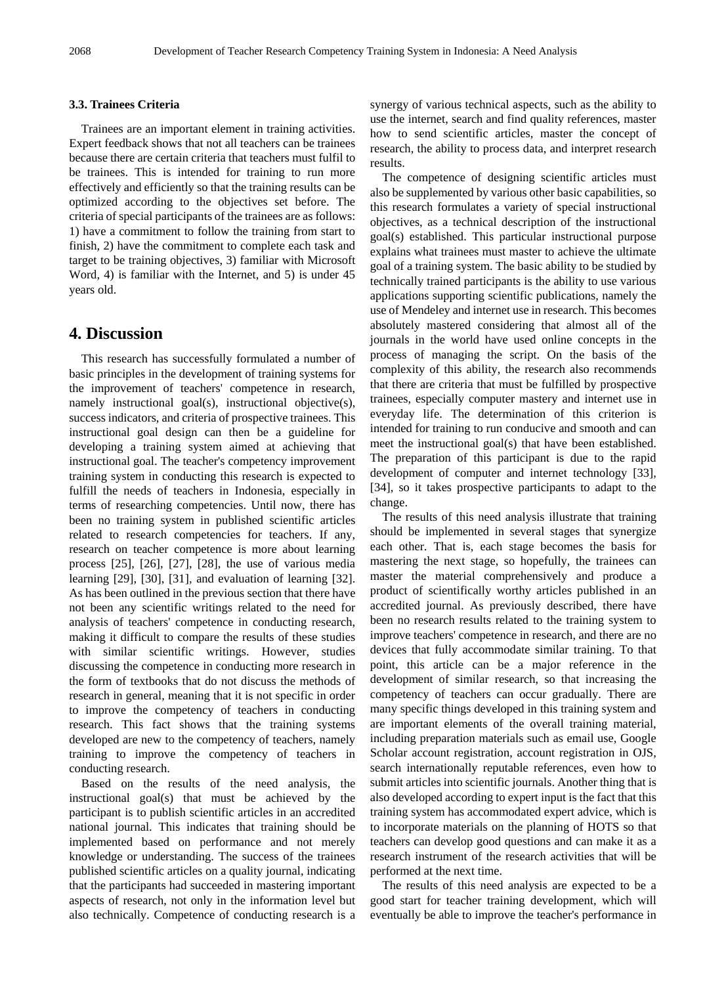#### **3.3. Trainees Criteria**

Trainees are an important element in training activities. Expert feedback shows that not all teachers can be trainees because there are certain criteria that teachers must fulfil to be trainees. This is intended for training to run more effectively and efficiently so that the training results can be optimized according to the objectives set before. The criteria of special participants of the trainees are as follows: 1) have a commitment to follow the training from start to finish, 2) have the commitment to complete each task and target to be training objectives, 3) familiar with Microsoft Word, 4) is familiar with the Internet, and 5) is under 45 years old.

# **4. Discussion**

This research has successfully formulated a number of basic principles in the development of training systems for the improvement of teachers' competence in research, namely instructional goal(s), instructional objective(s), success indicators, and criteria of prospective trainees. This instructional goal design can then be a guideline for developing a training system aimed at achieving that instructional goal. The teacher's competency improvement training system in conducting this research is expected to fulfill the needs of teachers in Indonesia, especially in terms of researching competencies. Until now, there has been no training system in published scientific articles related to research competencies for teachers. If any, research on teacher competence is more about learning process [25], [26], [27], [28], the use of various media learning [29], [30], [31], and evaluation of learning [32]. As has been outlined in the previous section that there have not been any scientific writings related to the need for analysis of teachers' competence in conducting research, making it difficult to compare the results of these studies with similar scientific writings. However, studies discussing the competence in conducting more research in the form of textbooks that do not discuss the methods of research in general, meaning that it is not specific in order to improve the competency of teachers in conducting research. This fact shows that the training systems developed are new to the competency of teachers, namely training to improve the competency of teachers in conducting research.

Based on the results of the need analysis, the instructional goal(s) that must be achieved by the participant is to publish scientific articles in an accredited national journal. This indicates that training should be implemented based on performance and not merely knowledge or understanding. The success of the trainees published scientific articles on a quality journal, indicating that the participants had succeeded in mastering important aspects of research, not only in the information level but also technically. Competence of conducting research is a

synergy of various technical aspects, such as the ability to use the internet, search and find quality references, master how to send scientific articles, master the concept of research, the ability to process data, and interpret research results.

The competence of designing scientific articles must also be supplemented by various other basic capabilities, so this research formulates a variety of special instructional objectives, as a technical description of the instructional goal(s) established. This particular instructional purpose explains what trainees must master to achieve the ultimate goal of a training system. The basic ability to be studied by technically trained participants is the ability to use various applications supporting scientific publications, namely the use of Mendeley and internet use in research. This becomes absolutely mastered considering that almost all of the journals in the world have used online concepts in the process of managing the script. On the basis of the complexity of this ability, the research also recommends that there are criteria that must be fulfilled by prospective trainees, especially computer mastery and internet use in everyday life. The determination of this criterion is intended for training to run conducive and smooth and can meet the instructional goal(s) that have been established. The preparation of this participant is due to the rapid development of computer and internet technology [33], [34], so it takes prospective participants to adapt to the change.

The results of this need analysis illustrate that training should be implemented in several stages that synergize each other. That is, each stage becomes the basis for mastering the next stage, so hopefully, the trainees can master the material comprehensively and produce a product of scientifically worthy articles published in an accredited journal. As previously described, there have been no research results related to the training system to improve teachers' competence in research, and there are no devices that fully accommodate similar training. To that point, this article can be a major reference in the development of similar research, so that increasing the competency of teachers can occur gradually. There are many specific things developed in this training system and are important elements of the overall training material, including preparation materials such as email use, Google Scholar account registration, account registration in OJS, search internationally reputable references, even how to submit articles into scientific journals. Another thing that is also developed according to expert input is the fact that this training system has accommodated expert advice, which is to incorporate materials on the planning of HOTS so that teachers can develop good questions and can make it as a research instrument of the research activities that will be performed at the next time.

The results of this need analysis are expected to be a good start for teacher training development, which will eventually be able to improve the teacher's performance in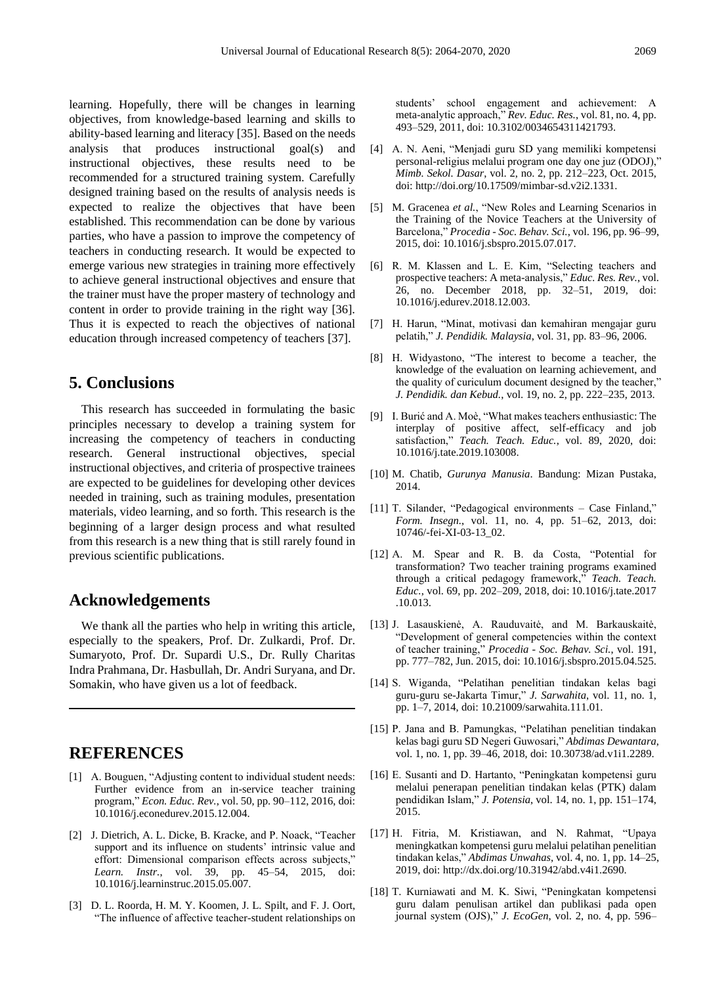learning. Hopefully, there will be changes in learning objectives, from knowledge-based learning and skills to ability-based learning and literacy [35]. Based on the needs analysis that produces instructional goal(s) and instructional objectives, these results need to be recommended for a structured training system. Carefully designed training based on the results of analysis needs is expected to realize the objectives that have been established. This recommendation can be done by various parties, who have a passion to improve the competency of teachers in conducting research. It would be expected to emerge various new strategies in training more effectively to achieve general instructional objectives and ensure that the trainer must have the proper mastery of technology and content in order to provide training in the right way [36]. Thus it is expected to reach the objectives of national education through increased competency of teachers [37].

# **5. Conclusions**

This research has succeeded in formulating the basic principles necessary to develop a training system for increasing the competency of teachers in conducting research. General instructional objectives, special instructional objectives, and criteria of prospective trainees are expected to be guidelines for developing other devices needed in training, such as training modules, presentation materials, video learning, and so forth. This research is the beginning of a larger design process and what resulted from this research is a new thing that is still rarely found in previous scientific publications.

## **Acknowledgements**

We thank all the parties who help in writing this article, especially to the speakers, Prof. Dr. Zulkardi, Prof. Dr. Sumaryoto, Prof. Dr. Supardi U.S., Dr. Rully Charitas Indra Prahmana, Dr. Hasbullah, Dr. Andri Suryana, and Dr. Somakin, who have given us a lot of feedback.

## **REFERENCES**

- [1] A. Bouguen, "Adjusting content to individual student needs: Further evidence from an in-service teacher training program," *Econ. Educ. Rev.*, vol. 50, pp. 90-112, 2016, doi: 10.1016/j.econedurev.2015.12.004.
- [2] J. Dietrich, A. L. Dicke, B. Kracke, and P. Noack, "Teacher support and its influence on students' intrinsic value and effort: Dimensional comparison effects across subjects," *Learn. Instr.*, vol. 39, pp. 45–54, 2015, doi: 10.1016/j.learninstruc.2015.05.007.
- [3] D. L. Roorda, H. M. Y. Koomen, J. L. Spilt, and F. J. Oort, ―The influence of affective teacher-student relationships on

students' school engagement and achievement: A meta-analytic approach," Rev. Educ. Res., vol. 81, no. 4, pp. 493–529, 2011, doi: 10.3102/0034654311421793.

- [4] A. N. Aeni, "Menjadi guru SD yang memiliki kompetensi personal-religius melalui program one day one juz (ODOJ)," *Mimb. Sekol. Dasar*, vol. 2, no. 2, pp. 212–223, Oct. 2015, doi: http://doi.org/10.17509/mimbar-sd.v2i2.1331.
- [5] M. Gracenea *et al.*, "New Roles and Learning Scenarios in the Training of the Novice Teachers at the University of Barcelona,‖ *Procedia - Soc. Behav. Sci.*, vol. 196, pp. 96–99, 2015, doi: 10.1016/j.sbspro.2015.07.017.
- [6] R. M. Klassen and L. E. Kim, "Selecting teachers and prospective teachers: A meta-analysis," *Educ. Res. Rev.*, vol. 26, no. December 2018, pp. 32–51, 2019, doi: 10.1016/j.edurev.2018.12.003.
- [7] H. Harun, "Minat, motivasi dan kemahiran mengajar guru pelatih,‖ *J. Pendidik. Malaysia*, vol. 31, pp. 83–96, 2006.
- [8] H. Widyastono, "The interest to become a teacher, the knowledge of the evaluation on learning achievement, and the quality of curiculum document designed by the teacher," *J. Pendidik. dan Kebud.*, vol. 19, no. 2, pp. 222–235, 2013.
- [9] I. Burić and A. Moè, "What makes teachers enthusiastic: The interplay of positive affect, self-efficacy and job satisfaction," Teach. Teach. Educ., vol. 89, 2020, doi: 10.1016/j.tate.2019.103008.
- [10] M. Chatib, *Gurunya Manusia*. Bandung: Mizan Pustaka, 2014.
- [11] T. Silander, "Pedagogical environments Case Finland," *Form. Insegn.*, vol. 11, no. 4, pp. 51–62, 2013, doi: 10746/-fei-XI-03-13\_02.
- [12] A. M. Spear and R. B. da Costa, "Potential for transformation? Two teacher training programs examined through a critical pedagogy framework," Teach. Teach. *Educ.*, vol. 69, pp. 202–209, 2018, doi: 10.1016/j.tate.2017 .10.013.
- [13] J. Lasauskienė, A. Rauduvaitė, and M. Barkauskaitė, ―Development of general competencies within the context of teacher training," Procedia - Soc. Behav. Sci., vol. 191, pp. 777–782, Jun. 2015, doi: 10.1016/j.sbspro.2015.04.525.
- [14] S. Wiganda, "Pelatihan penelitian tindakan kelas bagi guru-guru se-Jakarta Timur," *J. Sarwahita*, vol. 11, no. 1, pp. 1–7, 2014, doi: 10.21009/sarwahita.111.01.
- [15] P. Jana and B. Pamungkas, "Pelatihan penelitian tindakan kelas bagi guru SD Negeri Guwosari,‖ *Abdimas Dewantara*, vol. 1, no. 1, pp. 39–46, 2018, doi: 10.30738/ad.v1i1.2289.
- [16] E. Susanti and D. Hartanto, "Peningkatan kompetensi guru melalui penerapan penelitian tindakan kelas (PTK) dalam pendidikan Islam," *J. Potensia*, vol. 14, no. 1, pp. 151-174, 2015.
- [17] H. Fitria, M. Kristiawan, and N. Rahmat, "Upaya meningkatkan kompetensi guru melalui pelatihan penelitian tindakan kelas," *Abdimas Unwahas*, vol. 4, no. 1, pp. 14-25, 2019, doi: http://dx.doi.org/10.31942/abd.v4i1.2690.
- [18] T. Kurniawati and M. K. Siwi, "Peningkatan kompetensi guru dalam penulisan artikel dan publikasi pada open journal system (OJS)," *J. EcoGen*, vol. 2, no. 4, pp. 596–